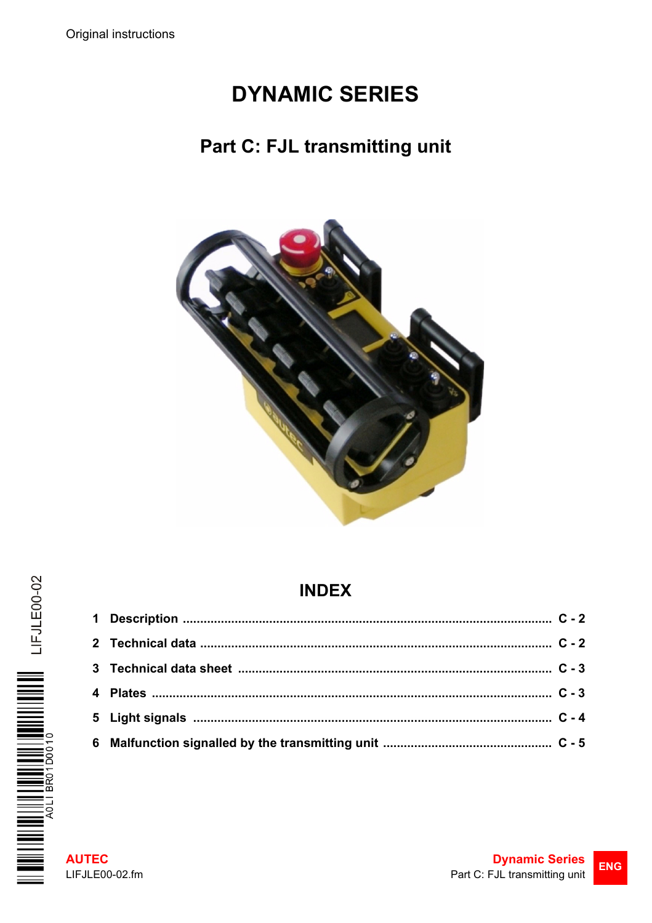# **DYNAMIC SERIES**

# Part C: FJL transmitting unit



## **INDEX**

**AUTEC** LIFJLE00-02.fm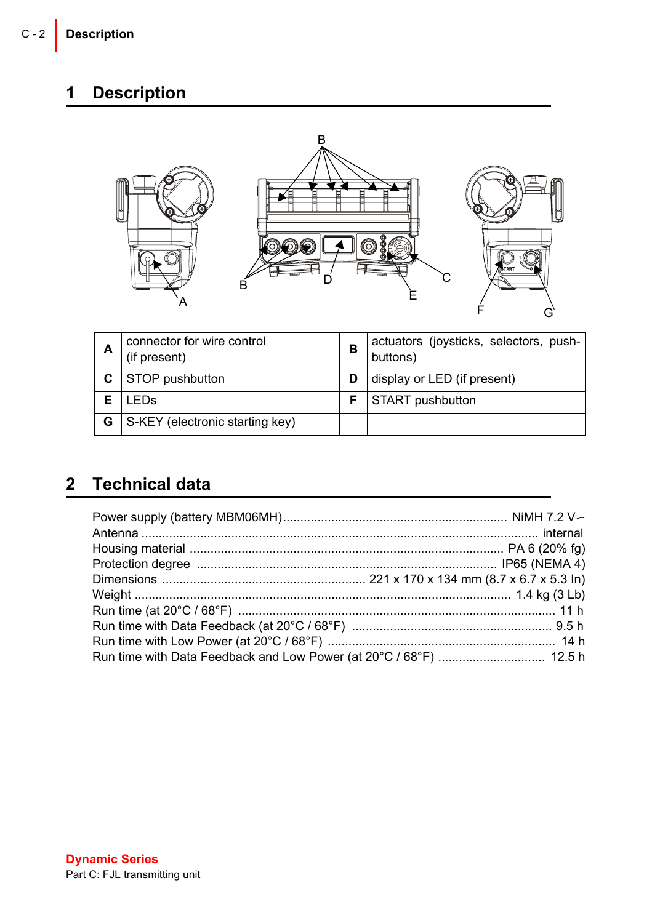## <span id="page-1-0"></span>**1 Description**



| А | connector for wire control<br>(if present) | в | actuators (joysticks, selectors, push-<br>buttons) |
|---|--------------------------------------------|---|----------------------------------------------------|
|   | STOP pushbutton                            |   | display or LED (if present)                        |
|   | LEDs                                       |   | START pushbutton                                   |
| G | S-KEY (electronic starting key)            |   |                                                    |

## <span id="page-1-1"></span>**2 Technical data**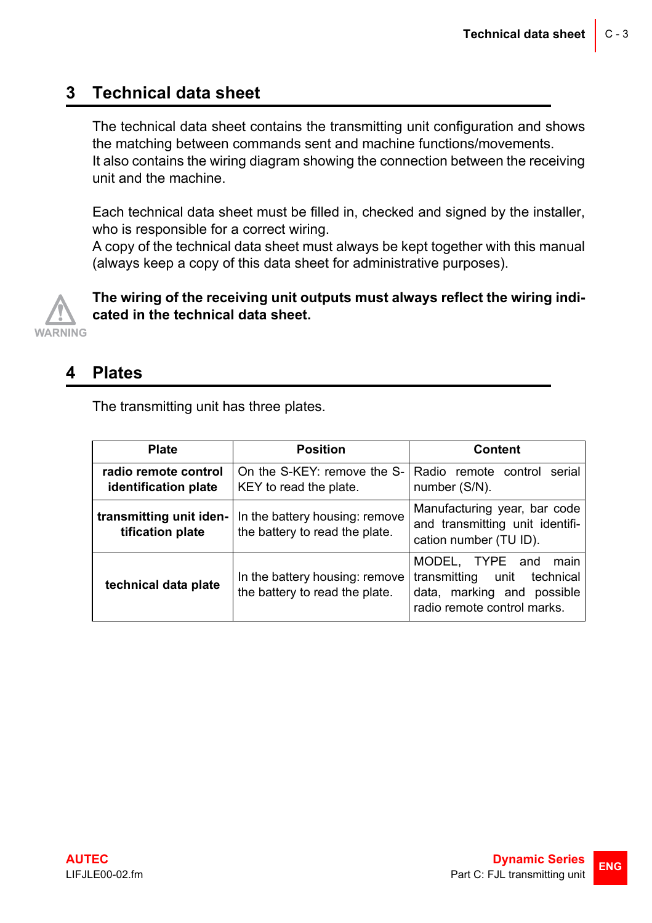#### <span id="page-2-0"></span>**3 Technical data sheet**

The technical data sheet contains the transmitting unit configuration and shows the matching between commands sent and machine functions/movements. It also contains the wiring diagram showing the connection between the receiving unit and the machine.

Each technical data sheet must be filled in, checked and signed by the installer, who is responsible for a correct wiring.

A copy of the technical data sheet must always be kept together with this manual (always keep a copy of this data sheet for administrative purposes).



**The wiring of the receiving unit outputs must always reflect the wiring indicated in the technical data sheet.**

#### <span id="page-2-1"></span>**4 Plates**

The transmitting unit has three plates.

| <b>Plate</b>                                 | <b>Position</b>                                                  | Content                                                                                                                   |  |
|----------------------------------------------|------------------------------------------------------------------|---------------------------------------------------------------------------------------------------------------------------|--|
| radio remote control<br>identification plate | On the S-KEY: remove the S-<br>KEY to read the plate.            | Radio remote control<br>serial<br>number (S/N).                                                                           |  |
| transmitting unit iden-<br>tification plate  | In the battery housing: remove<br>the battery to read the plate. | Manufacturing year, bar code<br>and transmitting unit identifi-<br>cation number (TU ID).                                 |  |
| technical data plate                         | In the battery housing: remove<br>the battery to read the plate. | MODEL, TYPE and<br>main<br>transmitting<br>unit<br>technical<br>data, marking and possible<br>radio remote control marks. |  |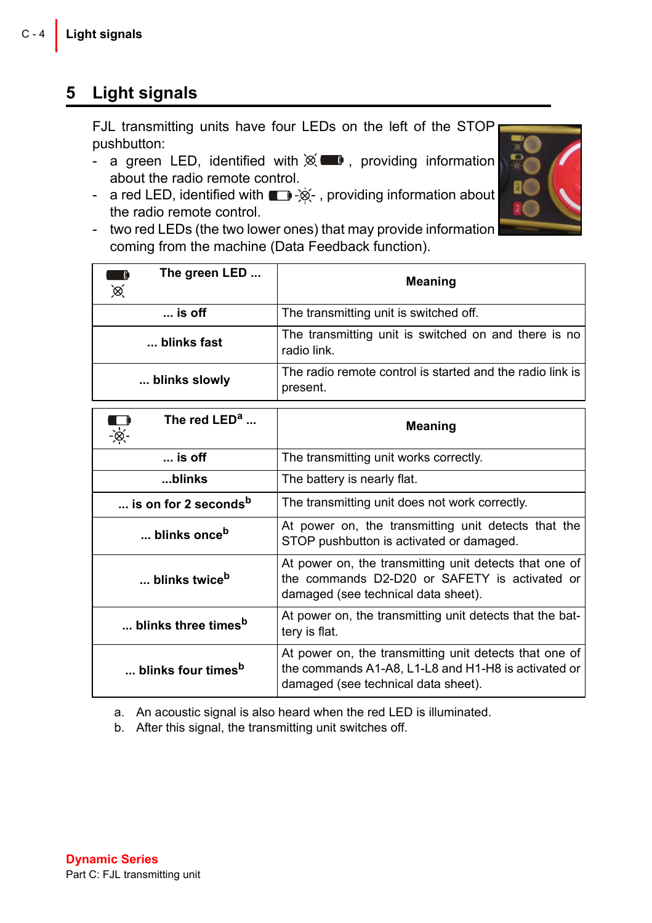## <span id="page-3-0"></span>**5 Light signals**

FJL transmitting units have four LEDs on the left of the STOP pushbutton:

- a green LED, identified with  $\mathscr{A}$  subsetsponding information about the radio remote control.



- a red LED, identified with  $\Box$   $\dot{\otimes}$  , providing information about the radio remote control.
- two red LEDs (the two lower ones) that may provide information coming from the machine (Data Feedback function).

| The green LED<br>œ.              | Meaning                                                                                                                                              |  |
|----------------------------------|------------------------------------------------------------------------------------------------------------------------------------------------------|--|
| $\ldots$ is off                  | The transmitting unit is switched off.                                                                                                               |  |
| blinks fast                      | The transmitting unit is switched on and there is no<br>radio link                                                                                   |  |
| blinks slowly                    | The radio remote control is started and the radio link is<br>present.                                                                                |  |
| The red $LEDa$                   | Meaning                                                                                                                                              |  |
| $$ is off                        | The transmitting unit works correctly.                                                                                                               |  |
| blinks                           | The battery is nearly flat.                                                                                                                          |  |
| is on for 2 seconds <sup>b</sup> | The transmitting unit does not work correctly.                                                                                                       |  |
| blinks once <sup>b</sup>         | At power on, the transmitting unit detects that the<br>STOP pushbutton is activated or damaged.                                                      |  |
| blinks twice <sup>b</sup>        | At power on, the transmitting unit detects that one of<br>the commands D2-D20 or SAFETY is activated or<br>damaged (see technical data sheet).       |  |
| blinks three times <sup>b</sup>  | At power on, the transmitting unit detects that the bat-<br>tery is flat.                                                                            |  |
| blinks four times <sup>b</sup>   | At power on, the transmitting unit detects that one of<br>the commands A1-A8, L1-L8 and H1-H8 is activated or<br>damaged (see technical data sheet). |  |

a. An acoustic signal is also heard when the red LED is illuminated.

<span id="page-3-1"></span>b. After this signal, the transmitting unit switches off.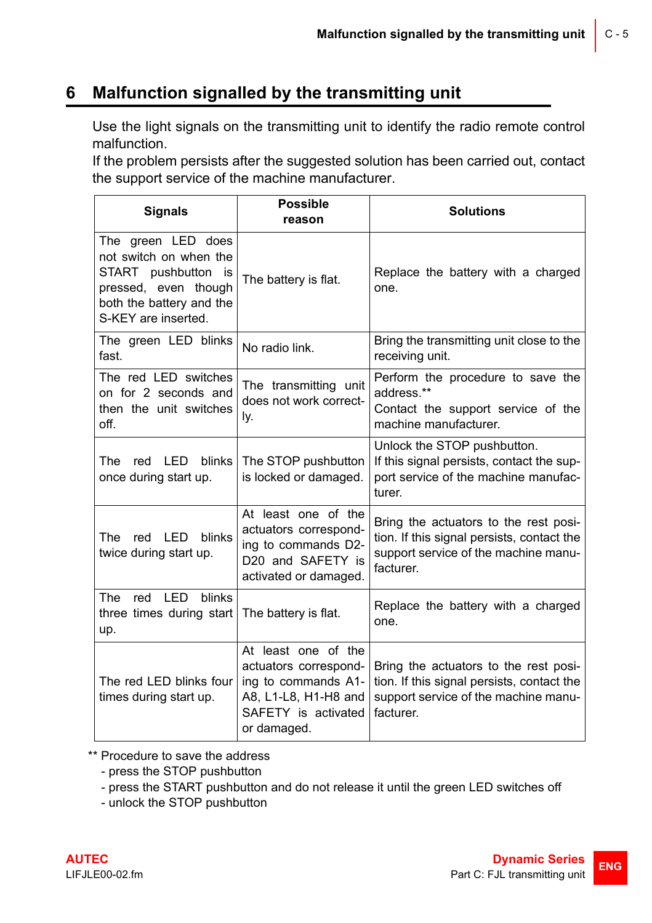#### <span id="page-4-0"></span>**6 Malfunction signalled by the transmitting unit**

Use the light signals on the transmitting unit to identify the radio remote control malfunction.

If the problem persists after the suggested solution has been carried out, contact the support service of the machine manufacturer.

| <b>Signals</b>                                                                                                                                    | <b>Possible</b><br>reason                                                                                                         | <b>Solutions</b>                                                                                                                         |
|---------------------------------------------------------------------------------------------------------------------------------------------------|-----------------------------------------------------------------------------------------------------------------------------------|------------------------------------------------------------------------------------------------------------------------------------------|
| The green LED does<br>not switch on when the<br>START pushbutton<br>is<br>pressed, even though<br>both the battery and the<br>S-KEY are inserted. | The battery is flat.                                                                                                              | Replace the battery with a charged<br>one.                                                                                               |
| The green LED blinks<br>fast.                                                                                                                     | No radio link.                                                                                                                    | Bring the transmitting unit close to the<br>receiving unit.                                                                              |
| The red LED switches<br>on for 2 seconds and<br>then the unit switches<br>off.                                                                    | The transmitting unit<br>does not work correct-<br>lν.                                                                            | Perform the procedure to save the<br>address.**<br>Contact the support service of the<br>machine manufacturer.                           |
| LED<br>blinks<br>The<br>red<br>once during start up.                                                                                              | The STOP pushbutton<br>is locked or damaged.                                                                                      | Unlock the STOP pushbutton.<br>If this signal persists, contact the sup-<br>port service of the machine manufac-<br>turer.               |
| <b>The</b><br>red LED<br>blinks<br>twice during start up.                                                                                         | At least one of the<br>actuators correspond-<br>ing to commands D2-<br>D20 and SAFETY is<br>activated or damaged.                 | Bring the actuators to the rest posi-<br>tion. If this signal persists, contact the<br>support service of the machine manu-<br>facturer. |
| blinks<br><b>The</b><br><b>LED</b><br>red<br>three times during start<br>up.                                                                      | The battery is flat.                                                                                                              | Replace the battery with a charged<br>one.                                                                                               |
| The red LED blinks four<br>times during start up.                                                                                                 | At least one of the<br>actuators correspond-<br>ing to commands A1-<br>A8, L1-L8, H1-H8 and<br>SAFETY is activated<br>or damaged. | Bring the actuators to the rest posi-<br>tion. If this signal persists, contact the<br>support service of the machine manu-<br>facturer. |

\*\* Procedure to save the address

- press the STOP pushbutton
- press the START pushbutton and do not release it until the green LED switches off
- unlock the STOP pushbutton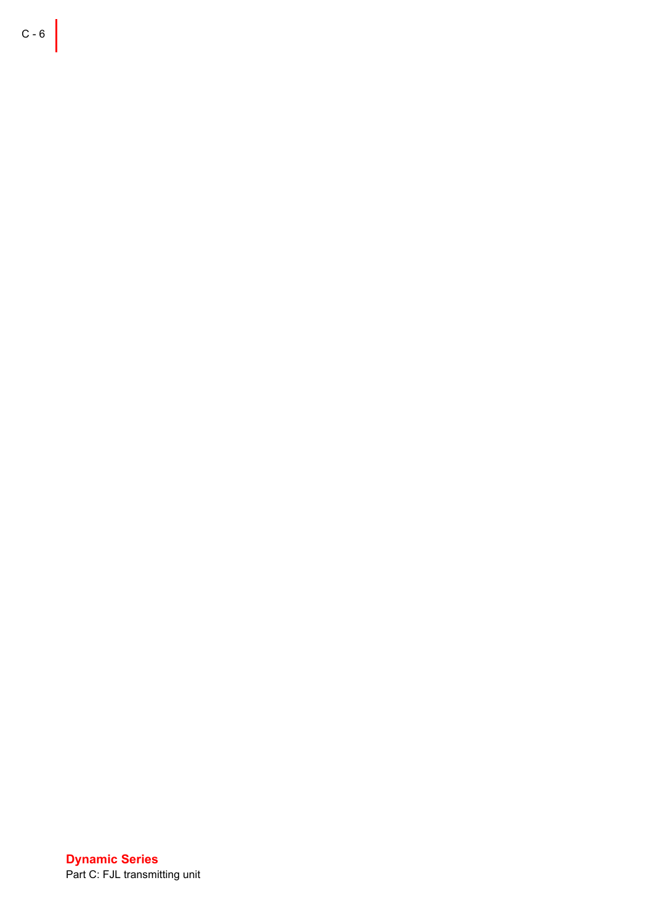$C - 6$